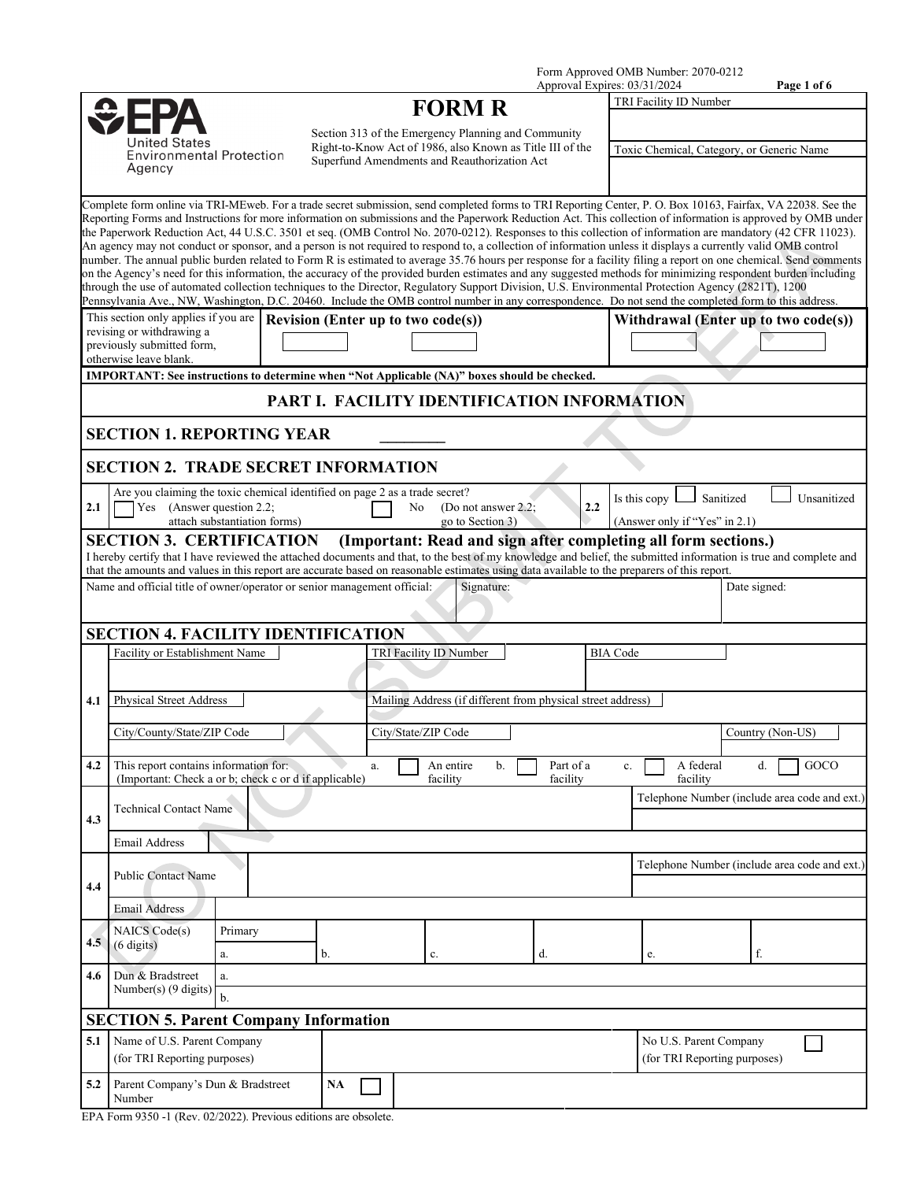Form Approved OMB Number: 2070-0212

|                                           |                                                                                                                                                                                                                                                                                                                                                                                                                                                                                                                                                                                                                                                                                                                                                                                                                                                                                                                                                                                                                                                                                                                                                            |                              |    |    |                                                                                                           |    | Approval Expires: 03/31/2024 |                 |                                                                |              | Page 1 of 6                                   |
|-------------------------------------------|------------------------------------------------------------------------------------------------------------------------------------------------------------------------------------------------------------------------------------------------------------------------------------------------------------------------------------------------------------------------------------------------------------------------------------------------------------------------------------------------------------------------------------------------------------------------------------------------------------------------------------------------------------------------------------------------------------------------------------------------------------------------------------------------------------------------------------------------------------------------------------------------------------------------------------------------------------------------------------------------------------------------------------------------------------------------------------------------------------------------------------------------------------|------------------------------|----|----|-----------------------------------------------------------------------------------------------------------|----|------------------------------|-----------------|----------------------------------------------------------------|--------------|-----------------------------------------------|
|                                           |                                                                                                                                                                                                                                                                                                                                                                                                                                                                                                                                                                                                                                                                                                                                                                                                                                                                                                                                                                                                                                                                                                                                                            |                              |    |    | <b>FORM R</b>                                                                                             |    |                              |                 | TRI Facility ID Number                                         |              |                                               |
|                                           | United States                                                                                                                                                                                                                                                                                                                                                                                                                                                                                                                                                                                                                                                                                                                                                                                                                                                                                                                                                                                                                                                                                                                                              |                              |    |    | Section 313 of the Emergency Planning and Community                                                       |    |                              |                 |                                                                |              |                                               |
| <b>Environmental Protection</b><br>Agency |                                                                                                                                                                                                                                                                                                                                                                                                                                                                                                                                                                                                                                                                                                                                                                                                                                                                                                                                                                                                                                                                                                                                                            |                              |    |    | Right-to-Know Act of 1986, also Known as Title III of the<br>Superfund Amendments and Reauthorization Act |    |                              |                 | Toxic Chemical, Category, or Generic Name                      |              |                                               |
|                                           | Complete form online via TRI-MEweb. For a trade secret submission, send completed forms to TRI Reporting Center, P. O. Box 10163, Fairfax, VA 22038. See the<br>Reporting Forms and Instructions for more information on submissions and the Paperwork Reduction Act. This collection of information is approved by OMB under<br>the Paperwork Reduction Act, 44 U.S.C. 3501 et seq. (OMB Control No. 2070-0212). Responses to this collection of information are mandatory (42 CFR 11023).<br>An agency may not conduct or sponsor, and a person is not required to respond to, a collection of information unless it displays a currently valid OMB control<br>number. The annual public burden related to Form R is estimated to average 35.76 hours per response for a facility filing a report on one chemical. Send comments<br>on the Agency's need for this information, the accuracy of the provided burden estimates and any suggested methods for minimizing respondent burden including<br>through the use of automated collection techniques to the Director, Regulatory Support Division, U.S. Environmental Protection Agency (2821T), 1200 |                              |    |    |                                                                                                           |    |                              |                 |                                                                |              |                                               |
|                                           | Pennsylvania Ave., NW, Washington, D.C. 20460. Include the OMB control number in any correspondence. Do not send the completed form to this address.<br>This section only applies if you are                                                                                                                                                                                                                                                                                                                                                                                                                                                                                                                                                                                                                                                                                                                                                                                                                                                                                                                                                               |                              |    |    | Revision (Enter up to two code(s))                                                                        |    |                              |                 |                                                                |              | Withdrawal (Enter up to two code(s))          |
|                                           | revising or withdrawing a<br>previously submitted form,<br>otherwise leave blank.                                                                                                                                                                                                                                                                                                                                                                                                                                                                                                                                                                                                                                                                                                                                                                                                                                                                                                                                                                                                                                                                          |                              |    |    |                                                                                                           |    |                              |                 |                                                                |              |                                               |
|                                           | IMPORTANT: See instructions to determine when "Not Applicable (NA)" boxes should be checked.                                                                                                                                                                                                                                                                                                                                                                                                                                                                                                                                                                                                                                                                                                                                                                                                                                                                                                                                                                                                                                                               |                              |    |    |                                                                                                           |    |                              |                 |                                                                |              |                                               |
|                                           |                                                                                                                                                                                                                                                                                                                                                                                                                                                                                                                                                                                                                                                                                                                                                                                                                                                                                                                                                                                                                                                                                                                                                            |                              |    |    | PART I. FACILITY IDENTIFICATION INFORMATION                                                               |    |                              |                 |                                                                |              |                                               |
|                                           | <b>SECTION 1. REPORTING YEAR</b>                                                                                                                                                                                                                                                                                                                                                                                                                                                                                                                                                                                                                                                                                                                                                                                                                                                                                                                                                                                                                                                                                                                           |                              |    |    |                                                                                                           |    |                              |                 |                                                                |              |                                               |
|                                           | <b>SECTION 2. TRADE SECRET INFORMATION</b>                                                                                                                                                                                                                                                                                                                                                                                                                                                                                                                                                                                                                                                                                                                                                                                                                                                                                                                                                                                                                                                                                                                 |                              |    |    |                                                                                                           |    |                              |                 |                                                                |              |                                               |
| 2.1                                       | Are you claiming the toxic chemical identified on page 2 as a trade secret?<br>Yes (Answer question 2.2;                                                                                                                                                                                                                                                                                                                                                                                                                                                                                                                                                                                                                                                                                                                                                                                                                                                                                                                                                                                                                                                   | attach substantiation forms) |    |    | No<br>(Do not answer 2.2;<br>go to Section 3)                                                             |    |                              | 2.2             | Is this copy $\mathsf{L}$<br>(Answer only if "Yes" in 2.1)     | Sanitized    | Unsanitized                                   |
|                                           | <b>SECTION 3. CERTIFICATION</b><br>I hereby certify that I have reviewed the attached documents and that, to the best of my knowledge and belief, the submitted information is true and complete and                                                                                                                                                                                                                                                                                                                                                                                                                                                                                                                                                                                                                                                                                                                                                                                                                                                                                                                                                       |                              |    |    |                                                                                                           |    |                              |                 | (Important: Read and sign after completing all form sections.) |              |                                               |
|                                           | that the amounts and values in this report are accurate based on reasonable estimates using data available to the preparers of this report.<br>Name and official title of owner/operator or senior management official:                                                                                                                                                                                                                                                                                                                                                                                                                                                                                                                                                                                                                                                                                                                                                                                                                                                                                                                                    |                              |    |    | Signature:                                                                                                |    |                              |                 |                                                                | Date signed: |                                               |
|                                           |                                                                                                                                                                                                                                                                                                                                                                                                                                                                                                                                                                                                                                                                                                                                                                                                                                                                                                                                                                                                                                                                                                                                                            |                              |    |    |                                                                                                           |    |                              |                 |                                                                |              |                                               |
|                                           | <b>SECTION 4. FACILITY IDENTIFICATION</b>                                                                                                                                                                                                                                                                                                                                                                                                                                                                                                                                                                                                                                                                                                                                                                                                                                                                                                                                                                                                                                                                                                                  |                              |    |    |                                                                                                           |    |                              |                 |                                                                |              |                                               |
|                                           | Facility or Establishment Name                                                                                                                                                                                                                                                                                                                                                                                                                                                                                                                                                                                                                                                                                                                                                                                                                                                                                                                                                                                                                                                                                                                             |                              |    |    | TRI Facility ID Number                                                                                    |    |                              | <b>BIA</b> Code |                                                                |              |                                               |
| 4.1                                       | <b>Physical Street Address</b>                                                                                                                                                                                                                                                                                                                                                                                                                                                                                                                                                                                                                                                                                                                                                                                                                                                                                                                                                                                                                                                                                                                             |                              |    |    | Mailing Address (if different from physical street address)                                               |    |                              |                 |                                                                |              |                                               |
|                                           | City/County/State/ZIP Code                                                                                                                                                                                                                                                                                                                                                                                                                                                                                                                                                                                                                                                                                                                                                                                                                                                                                                                                                                                                                                                                                                                                 |                              |    |    | City/State/ZIP Code                                                                                       |    |                              |                 |                                                                |              | Country (Non-US)                              |
| 4.2                                       | This report contains information for:<br>(Important: Check a or b; check c or d if applicable)                                                                                                                                                                                                                                                                                                                                                                                                                                                                                                                                                                                                                                                                                                                                                                                                                                                                                                                                                                                                                                                             |                              |    | a. | An entire<br>facility                                                                                     | b. | Part of a<br>facility        | c.              | A federal<br>facility                                          | d.           | GOCO                                          |
| 4.3                                       | <b>Technical Contact Name</b>                                                                                                                                                                                                                                                                                                                                                                                                                                                                                                                                                                                                                                                                                                                                                                                                                                                                                                                                                                                                                                                                                                                              |                              |    |    |                                                                                                           |    |                              |                 |                                                                |              | Telephone Number (include area code and ext.) |
|                                           | <b>Email Address</b>                                                                                                                                                                                                                                                                                                                                                                                                                                                                                                                                                                                                                                                                                                                                                                                                                                                                                                                                                                                                                                                                                                                                       |                              |    |    |                                                                                                           |    |                              |                 |                                                                |              |                                               |
| 4.4                                       | <b>Public Contact Name</b>                                                                                                                                                                                                                                                                                                                                                                                                                                                                                                                                                                                                                                                                                                                                                                                                                                                                                                                                                                                                                                                                                                                                 |                              |    |    |                                                                                                           |    |                              |                 |                                                                |              | Telephone Number (include area code and ext.) |
|                                           | <b>Email Address</b>                                                                                                                                                                                                                                                                                                                                                                                                                                                                                                                                                                                                                                                                                                                                                                                                                                                                                                                                                                                                                                                                                                                                       |                              |    |    |                                                                                                           |    |                              |                 |                                                                |              |                                               |
| 4.5                                       | NAICS Code(s)<br>$(6 \text{ digits})$                                                                                                                                                                                                                                                                                                                                                                                                                                                                                                                                                                                                                                                                                                                                                                                                                                                                                                                                                                                                                                                                                                                      | Primary<br>a.                | b. |    | c.                                                                                                        |    | d.                           |                 | e.                                                             | f.           |                                               |
| 4.6                                       | Dun & Bradstreet<br>Number(s) (9 digits)                                                                                                                                                                                                                                                                                                                                                                                                                                                                                                                                                                                                                                                                                                                                                                                                                                                                                                                                                                                                                                                                                                                   | a.                           |    |    |                                                                                                           |    |                              |                 |                                                                |              |                                               |
|                                           | <b>SECTION 5. Parent Company Information</b>                                                                                                                                                                                                                                                                                                                                                                                                                                                                                                                                                                                                                                                                                                                                                                                                                                                                                                                                                                                                                                                                                                               | $b$                          |    |    |                                                                                                           |    |                              |                 |                                                                |              |                                               |
| 5.1                                       | Name of U.S. Parent Company<br>(for TRI Reporting purposes)                                                                                                                                                                                                                                                                                                                                                                                                                                                                                                                                                                                                                                                                                                                                                                                                                                                                                                                                                                                                                                                                                                |                              |    |    |                                                                                                           |    |                              |                 | No U.S. Parent Company<br>(for TRI Reporting purposes)         |              |                                               |
| 5.2                                       | Parent Company's Dun & Bradstreet<br>Number                                                                                                                                                                                                                                                                                                                                                                                                                                                                                                                                                                                                                                                                                                                                                                                                                                                                                                                                                                                                                                                                                                                |                              | NA |    |                                                                                                           |    |                              |                 |                                                                |              |                                               |

EPA Form 9350 -1 (Rev. 02/2022). Previous editions are obsolete.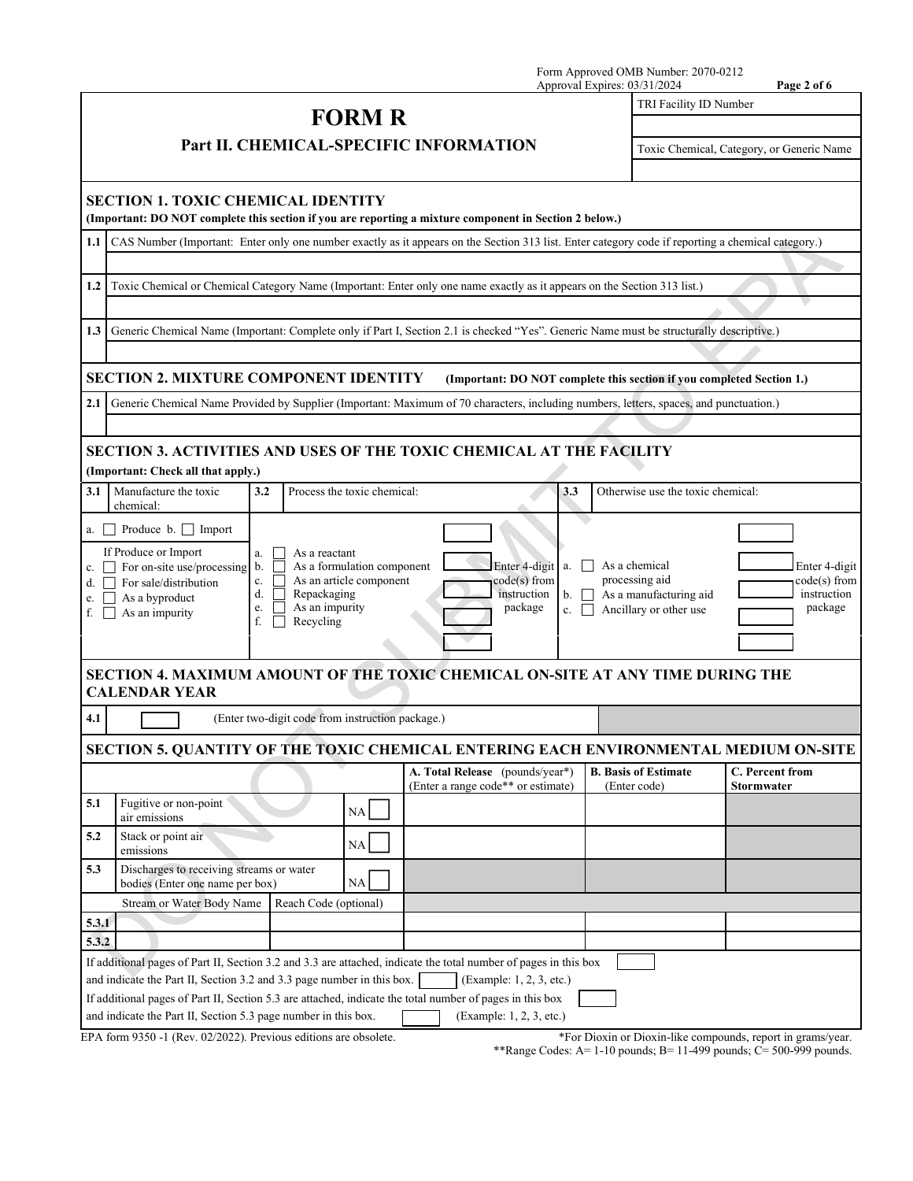|       |                                                                                                                                                                                                                                                                                                        |                                                                                                             |                                                       |                                                           |                                    | Approval Expires: 03/31/2024 | Form Approved OMB Number: 2070-0212                                                 | Page 2 of 6                                                           |  |
|-------|--------------------------------------------------------------------------------------------------------------------------------------------------------------------------------------------------------------------------------------------------------------------------------------------------------|-------------------------------------------------------------------------------------------------------------|-------------------------------------------------------|-----------------------------------------------------------|------------------------------------|------------------------------|-------------------------------------------------------------------------------------|-----------------------------------------------------------------------|--|
|       |                                                                                                                                                                                                                                                                                                        |                                                                                                             |                                                       |                                                           |                                    |                              | TRI Facility ID Number                                                              |                                                                       |  |
|       |                                                                                                                                                                                                                                                                                                        |                                                                                                             | <b>FORM R</b>                                         |                                                           |                                    |                              |                                                                                     |                                                                       |  |
|       |                                                                                                                                                                                                                                                                                                        | Part II. CHEMICAL-SPECIFIC INFORMATION                                                                      |                                                       |                                                           |                                    |                              |                                                                                     | Toxic Chemical, Category, or Generic Name                             |  |
|       | <b>SECTION 1. TOXIC CHEMICAL IDENTITY</b><br>(Important: DO NOT complete this section if you are reporting a mixture component in Section 2 below.)                                                                                                                                                    |                                                                                                             |                                                       |                                                           |                                    |                              |                                                                                     |                                                                       |  |
| 1.1   | CAS Number (Important: Enter only one number exactly as it appears on the Section 313 list. Enter category code if reporting a chemical category.)                                                                                                                                                     |                                                                                                             |                                                       |                                                           |                                    |                              |                                                                                     |                                                                       |  |
|       |                                                                                                                                                                                                                                                                                                        |                                                                                                             |                                                       |                                                           |                                    |                              |                                                                                     |                                                                       |  |
| 1.2   | Toxic Chemical or Chemical Category Name (Important: Enter only one name exactly as it appears on the Section 313 list.)                                                                                                                                                                               |                                                                                                             |                                                       |                                                           |                                    |                              |                                                                                     |                                                                       |  |
|       |                                                                                                                                                                                                                                                                                                        |                                                                                                             |                                                       |                                                           |                                    |                              |                                                                                     |                                                                       |  |
| 1.3   | Generic Chemical Name (Important: Complete only if Part I, Section 2.1 is checked "Yes". Generic Name must be structurally descriptive.)                                                                                                                                                               |                                                                                                             |                                                       |                                                           |                                    |                              |                                                                                     |                                                                       |  |
|       |                                                                                                                                                                                                                                                                                                        |                                                                                                             |                                                       |                                                           |                                    |                              |                                                                                     |                                                                       |  |
|       | <b>SECTION 2. MIXTURE COMPONENT IDENTITY</b>                                                                                                                                                                                                                                                           |                                                                                                             |                                                       |                                                           |                                    |                              |                                                                                     | (Important: DO NOT complete this section if you completed Section 1.) |  |
| 2.1   | Generic Chemical Name Provided by Supplier (Important: Maximum of 70 characters, including numbers, letters, spaces, and punctuation.)                                                                                                                                                                 |                                                                                                             |                                                       |                                                           |                                    |                              |                                                                                     |                                                                       |  |
|       |                                                                                                                                                                                                                                                                                                        |                                                                                                             |                                                       |                                                           |                                    |                              |                                                                                     |                                                                       |  |
|       | <b>SECTION 3. ACTIVITIES AND USES OF THE TOXIC CHEMICAL AT THE FACILITY</b>                                                                                                                                                                                                                            |                                                                                                             |                                                       |                                                           |                                    |                              |                                                                                     |                                                                       |  |
|       | (Important: Check all that apply.)                                                                                                                                                                                                                                                                     |                                                                                                             |                                                       |                                                           |                                    |                              |                                                                                     |                                                                       |  |
| 3.1   | Manufacture the toxic<br>chemical:                                                                                                                                                                                                                                                                     | 3.2                                                                                                         | Process the toxic chemical:                           |                                                           | 3.3                                |                              | Otherwise use the toxic chemical:                                                   |                                                                       |  |
|       | a. $\Box$ Produce b. $\Box$ Import                                                                                                                                                                                                                                                                     |                                                                                                             |                                                       |                                                           |                                    |                              |                                                                                     |                                                                       |  |
| f.    | If Produce or Import<br>c. $\Box$ For on-site use/processing<br>$d.$ $\Box$ For sale/distribution<br>e. $\Box$ As a byproduct<br>As an impurity                                                                                                                                                        | a.<br>As a reactant<br>$\mathbf{b}$ .<br>c.<br>d.<br>Repackaging<br>As an impurity<br>e.<br>f.<br>Recycling | As a formulation component<br>As an article component | Enter 4-digit<br>$code(s)$ from<br>instruction<br>package | $\mathbf{b}$ . $\Box$<br>c. $\Box$ |                              | As a chemical<br>processing aid<br>As a manufacturing aid<br>Ancillary or other use | Enter 4-digit<br>code(s) from<br>instruction<br>package               |  |
|       | SECTION 4. MAXIMUM AMOUNT OF THE TOXIC CHEMICAL ON-SITE AT ANY TIME DURING THE<br><b>CALENDAR YEAR</b>                                                                                                                                                                                                 |                                                                                                             |                                                       |                                                           |                                    |                              |                                                                                     |                                                                       |  |
| 4.1   |                                                                                                                                                                                                                                                                                                        | (Enter two-digit code from instruction package.)                                                            |                                                       |                                                           |                                    |                              |                                                                                     |                                                                       |  |
|       |                                                                                                                                                                                                                                                                                                        |                                                                                                             |                                                       |                                                           |                                    |                              |                                                                                     |                                                                       |  |
|       | SECTION 5. QUANTITY OF THE TOXIC CHEMICAL ENTERING EACH ENVIRONMENTAL MEDIUM ON-SITE                                                                                                                                                                                                                   |                                                                                                             |                                                       | A. Total Release (pounds/year*)                           |                                    |                              | <b>B.</b> Basis of Estimate                                                         | C. Percent from                                                       |  |
|       |                                                                                                                                                                                                                                                                                                        |                                                                                                             |                                                       | (Enter a range code** or estimate)                        |                                    | (Enter code)                 |                                                                                     | <b>Stormwater</b>                                                     |  |
| 5.1   | Fugitive or non-point<br>air emissions                                                                                                                                                                                                                                                                 |                                                                                                             | NA                                                    |                                                           |                                    |                              |                                                                                     |                                                                       |  |
| 5.2   | Stack or point air<br>emissions                                                                                                                                                                                                                                                                        |                                                                                                             | NA                                                    |                                                           |                                    |                              |                                                                                     |                                                                       |  |
| 5.3   | Discharges to receiving streams or water<br>bodies (Enter one name per box)                                                                                                                                                                                                                            |                                                                                                             | NA                                                    |                                                           |                                    |                              |                                                                                     |                                                                       |  |
|       | Stream or Water Body Name                                                                                                                                                                                                                                                                              | Reach Code (optional)                                                                                       |                                                       |                                                           |                                    |                              |                                                                                     |                                                                       |  |
| 5.3.1 |                                                                                                                                                                                                                                                                                                        |                                                                                                             |                                                       |                                                           |                                    |                              |                                                                                     |                                                                       |  |
| 5.3.2 |                                                                                                                                                                                                                                                                                                        |                                                                                                             |                                                       |                                                           |                                    |                              |                                                                                     |                                                                       |  |
|       | If additional pages of Part II, Section 3.2 and 3.3 are attached, indicate the total number of pages in this box<br>and indicate the Part II, Section 3.2 and 3.3 page number in this box.<br>If additional pages of Part II, Section 5.3 are attached, indicate the total number of pages in this box |                                                                                                             |                                                       | (Example: 1, 2, 3, etc.)                                  |                                    |                              |                                                                                     |                                                                       |  |
|       | and indicate the Part II, Section 5.3 page number in this box.                                                                                                                                                                                                                                         |                                                                                                             |                                                       | (Example: 1, 2, 3, etc.)                                  |                                    |                              |                                                                                     |                                                                       |  |

EPA form 9350 -1 (Rev. 02/2022). Previous editions are obsolete. \*For Dioxin or Dioxin-like compounds, report in grams/year.

\*\*Range Codes: A= 1-10 pounds; B= 11-499 pounds; C= 500-999 pounds.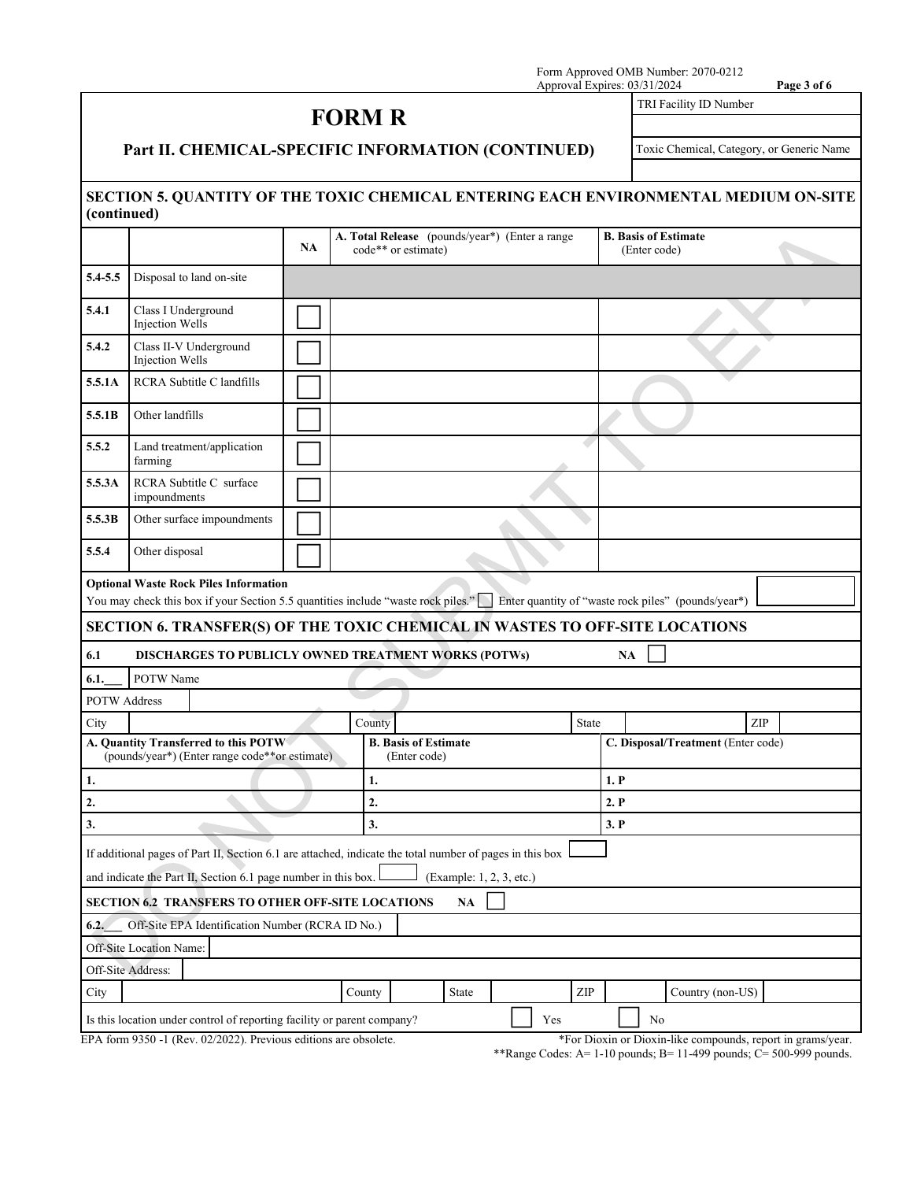Form Approved OMB Number: 2070-0212 Approval Expires: 03/31/2024 **Page 3 of 6**

## **FORM R**

TRI Facility ID Number

**Part II. CHEMICAL-SPECIFIC INFORMATION (CONTINUED)**

Toxic Chemical, Category, or Generic Name

## **SECTION 5. QUANTITY OF THE TOXIC CHEMICAL ENTERING EACH ENVIRONMENTAL MEDIUM ON-SITE (continued)**

| (continueu)                                                                                                                                                                           |                                                                                                          |    |        |                                                                       |     |                             |                                             |  |  |  |
|---------------------------------------------------------------------------------------------------------------------------------------------------------------------------------------|----------------------------------------------------------------------------------------------------------|----|--------|-----------------------------------------------------------------------|-----|-----------------------------|---------------------------------------------|--|--|--|
|                                                                                                                                                                                       |                                                                                                          | NA |        | A. Total Release (pounds/year*) (Enter a range<br>code** or estimate) |     |                             | <b>B. Basis of Estimate</b><br>(Enter code) |  |  |  |
| 5.4-5.5                                                                                                                                                                               | Disposal to land on-site                                                                                 |    |        |                                                                       |     |                             |                                             |  |  |  |
| 5.4.1<br>Class I Underground<br>Injection Wells                                                                                                                                       |                                                                                                          |    |        |                                                                       |     |                             |                                             |  |  |  |
| 5.4.2                                                                                                                                                                                 | Class II-V Underground<br>Injection Wells                                                                |    |        |                                                                       |     |                             |                                             |  |  |  |
| 5.5.1A                                                                                                                                                                                | RCRA Subtitle C landfills                                                                                |    |        |                                                                       |     |                             |                                             |  |  |  |
| 5.5.1B                                                                                                                                                                                | Other landfills                                                                                          |    |        |                                                                       |     |                             |                                             |  |  |  |
| 5.5.2                                                                                                                                                                                 | Land treatment/application<br>farming                                                                    |    |        |                                                                       |     |                             |                                             |  |  |  |
| 5.5.3A                                                                                                                                                                                | RCRA Subtitle C surface<br>impoundments                                                                  |    |        |                                                                       |     |                             |                                             |  |  |  |
| 5.5.3B                                                                                                                                                                                | Other surface impoundments                                                                               |    |        |                                                                       |     |                             |                                             |  |  |  |
| 5.5.4                                                                                                                                                                                 | Other disposal                                                                                           |    |        |                                                                       |     |                             |                                             |  |  |  |
| <b>Optional Waste Rock Piles Information</b><br>You may check this box if your Section 5.5 quantities include "waste rock piles." Enter quantity of "waste rock piles" (pounds/year*) |                                                                                                          |    |        |                                                                       |     |                             |                                             |  |  |  |
|                                                                                                                                                                                       | SECTION 6. TRANSFER(S) OF THE TOXIC CHEMICAL IN WASTES TO OFF-SITE LOCATIONS                             |    |        |                                                                       |     |                             |                                             |  |  |  |
| 6.1                                                                                                                                                                                   | DISCHARGES TO PUBLICLY OWNED TREATMENT WORKS (POTWs)                                                     |    |        |                                                                       |     |                             | <b>NA</b>                                   |  |  |  |
| 6.1.                                                                                                                                                                                  | POTW Name                                                                                                |    |        |                                                                       |     |                             |                                             |  |  |  |
| <b>POTW Address</b>                                                                                                                                                                   |                                                                                                          |    |        |                                                                       |     |                             |                                             |  |  |  |
| City                                                                                                                                                                                  |                                                                                                          |    | County |                                                                       |     | State                       | ZIP                                         |  |  |  |
|                                                                                                                                                                                       | A. Quantity Transferred to this POTW<br>(pounds/year*) (Enter range code**or estimate)                   |    |        | <b>B. Basis of Estimate</b><br>(Enter code)                           |     |                             | C. Disposal/Treatment (Enter code)          |  |  |  |
| 1.                                                                                                                                                                                    |                                                                                                          |    | 1.     |                                                                       |     | 1. P                        |                                             |  |  |  |
| 2.                                                                                                                                                                                    |                                                                                                          |    | 2.     |                                                                       |     |                             | 2. P                                        |  |  |  |
| 3.                                                                                                                                                                                    |                                                                                                          |    | 3.     |                                                                       |     | 3. P                        |                                             |  |  |  |
|                                                                                                                                                                                       | If additional pages of Part II, Section 6.1 are attached, indicate the total number of pages in this box |    |        |                                                                       |     |                             |                                             |  |  |  |
|                                                                                                                                                                                       | and indicate the Part II, Section 6.1 page number in this box.                                           |    |        | (Example: 1, 2, 3, etc.)                                              |     |                             |                                             |  |  |  |
| SECTION 6.2 TRANSFERS TO OTHER OFF-SITE LOCATIONS<br>NA                                                                                                                               |                                                                                                          |    |        |                                                                       |     |                             |                                             |  |  |  |
| Off-Site EPA Identification Number (RCRA ID No.)<br>6.2.                                                                                                                              |                                                                                                          |    |        |                                                                       |     |                             |                                             |  |  |  |
| Off-Site Location Name:                                                                                                                                                               |                                                                                                          |    |        |                                                                       |     |                             |                                             |  |  |  |
| Off-Site Address:                                                                                                                                                                     |                                                                                                          |    |        |                                                                       |     |                             |                                             |  |  |  |
| City                                                                                                                                                                                  |                                                                                                          |    | County | State                                                                 |     | $\ensuremath{\mathrm{ZIP}}$ | Country (non-US)                            |  |  |  |
|                                                                                                                                                                                       | Is this location under control of reporting facility or parent company?                                  |    |        |                                                                       | Yes |                             | No                                          |  |  |  |
| EPA form 9350 -1 (Rev. 02/2022). Previous editions are obsolete.<br>*For Dioxin or Dioxin-like compounds, report in grams/year.                                                       |                                                                                                          |    |        |                                                                       |     |                             |                                             |  |  |  |

\*\*Range Codes: A= 1-10 pounds; B= 11-499 pounds;  $\overline{C}$ = 500-999 pounds.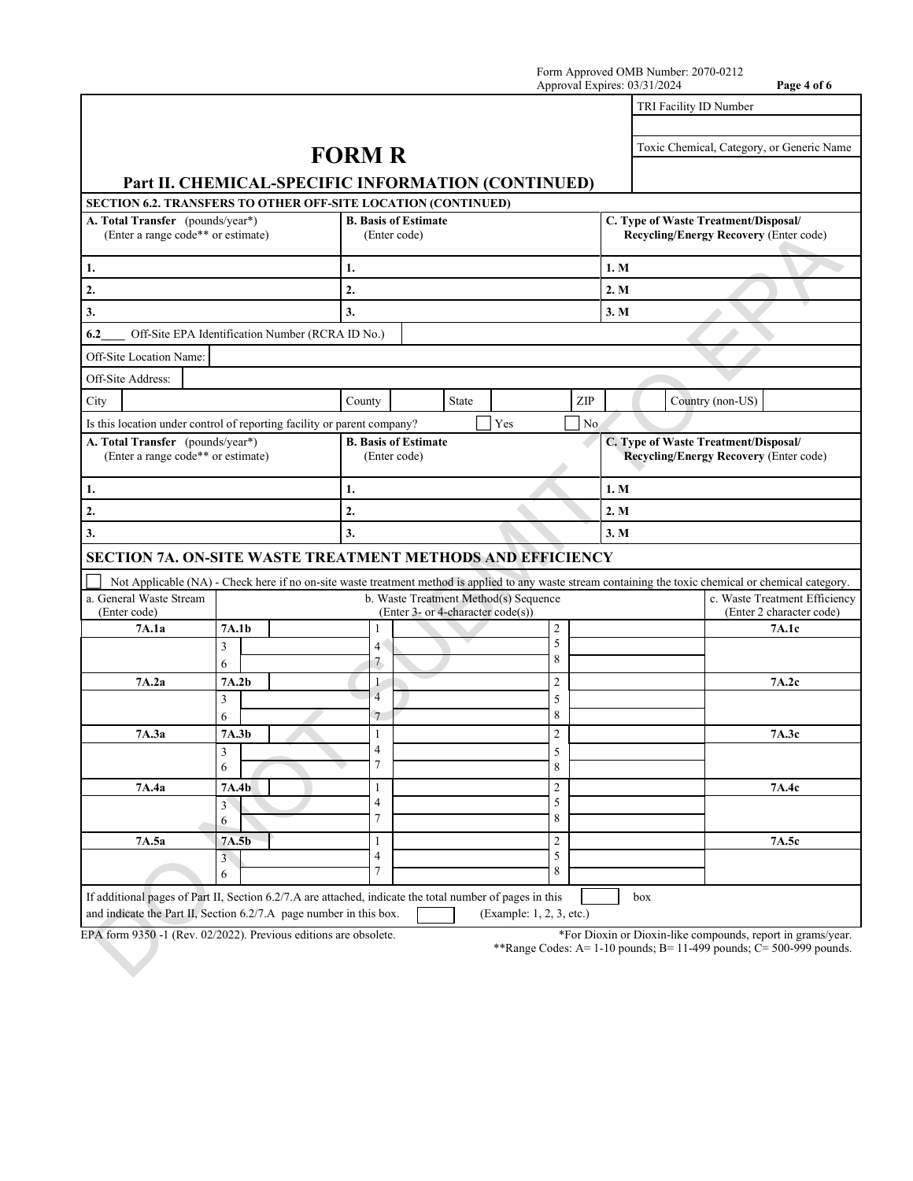|                                                                                                                                                                                |                                                                                                                                                          | Form Approved OMB Number: 2070-0212<br>Approval Expires: 03/31/2024<br>Page 4 of 6 |  |                                   |                                       |                         |                                                                                       |                        |                                                           |  |
|--------------------------------------------------------------------------------------------------------------------------------------------------------------------------------|----------------------------------------------------------------------------------------------------------------------------------------------------------|------------------------------------------------------------------------------------|--|-----------------------------------|---------------------------------------|-------------------------|---------------------------------------------------------------------------------------|------------------------|-----------------------------------------------------------|--|
|                                                                                                                                                                                |                                                                                                                                                          |                                                                                    |  |                                   |                                       |                         |                                                                                       | TRI Facility ID Number |                                                           |  |
|                                                                                                                                                                                | Part II. CHEMICAL-SPECIFIC INFORMATION (CONTINUED)                                                                                                       | <b>FORM R</b>                                                                      |  |                                   |                                       |                         |                                                                                       |                        | Toxic Chemical, Category, or Generic Name                 |  |
| SECTION 6.2. TRANSFERS TO OTHER OFF-SITE LOCATION (CONTINUED)                                                                                                                  |                                                                                                                                                          |                                                                                    |  |                                   |                                       |                         |                                                                                       |                        |                                                           |  |
| A. Total Transfer (pounds/year*)<br>(Enter a range code** or estimate)                                                                                                         | <b>B. Basis of Estimate</b>                                                                                                                              | (Enter code)                                                                       |  |                                   |                                       |                         | C. Type of Waste Treatment/Disposal/<br>Recycling/Energy Recovery (Enter code)        |                        |                                                           |  |
| 1.                                                                                                                                                                             |                                                                                                                                                          | 1.                                                                                 |  |                                   |                                       |                         | 1. M                                                                                  |                        |                                                           |  |
| $\overline{2}$ .                                                                                                                                                               |                                                                                                                                                          | 2.                                                                                 |  |                                   |                                       |                         | 2. M                                                                                  |                        |                                                           |  |
| 3.                                                                                                                                                                             |                                                                                                                                                          | 3.                                                                                 |  |                                   |                                       |                         | 3. M                                                                                  |                        |                                                           |  |
| 6.2                                                                                                                                                                            | Off-Site EPA Identification Number (RCRA ID No.)                                                                                                         |                                                                                    |  |                                   |                                       |                         |                                                                                       |                        |                                                           |  |
| Off-Site Location Name:                                                                                                                                                        |                                                                                                                                                          |                                                                                    |  |                                   |                                       |                         |                                                                                       |                        |                                                           |  |
| Off-Site Address:                                                                                                                                                              |                                                                                                                                                          |                                                                                    |  |                                   |                                       |                         |                                                                                       |                        |                                                           |  |
| City                                                                                                                                                                           |                                                                                                                                                          | County                                                                             |  | State                             |                                       | ZIP                     |                                                                                       | Country (non-US)       |                                                           |  |
| Is this location under control of reporting facility or parent company?                                                                                                        |                                                                                                                                                          |                                                                                    |  |                                   | Yes                                   | N <sub>o</sub>          |                                                                                       |                        |                                                           |  |
| A. Total Transfer (pounds/year*)<br>(Enter a range code** or estimate)                                                                                                         |                                                                                                                                                          | <b>B.</b> Basis of Estimate<br>(Enter code)                                        |  |                                   |                                       |                         | C. Type of Waste Treatment/Disposal/<br><b>Recycling/Energy Recovery (Enter code)</b> |                        |                                                           |  |
| 1.                                                                                                                                                                             |                                                                                                                                                          | 1.                                                                                 |  |                                   |                                       |                         | 1. M                                                                                  |                        |                                                           |  |
| 2.                                                                                                                                                                             |                                                                                                                                                          | 2.                                                                                 |  |                                   |                                       |                         | 2. M                                                                                  |                        |                                                           |  |
| 3.                                                                                                                                                                             | 3.                                                                                                                                                       |                                                                                    |  |                                   |                                       | 3. M                    |                                                                                       |                        |                                                           |  |
| <b>SECTION 7A. ON-SITE WASTE TREATMENT METHODS AND EFFICIENCY</b>                                                                                                              |                                                                                                                                                          |                                                                                    |  |                                   |                                       |                         |                                                                                       |                        |                                                           |  |
|                                                                                                                                                                                | Not Applicable (NA) - Check here if no on-site waste treatment method is applied to any waste stream containing the toxic chemical or chemical category. |                                                                                    |  |                                   |                                       |                         |                                                                                       |                        |                                                           |  |
| a. General Waste Stream<br>(Enter code)                                                                                                                                        |                                                                                                                                                          |                                                                                    |  | (Enter 3- or 4-character code(s)) | b. Waste Treatment Method(s) Sequence |                         |                                                                                       |                        | c. Waste Treatment Efficiency<br>(Enter 2 character code) |  |
| 7A.1a                                                                                                                                                                          | 7A.1b                                                                                                                                                    | 1                                                                                  |  |                                   |                                       | $\overline{2}$          |                                                                                       |                        | 7A.1c                                                     |  |
|                                                                                                                                                                                | 3                                                                                                                                                        | 4 <sup>′</sup>                                                                     |  |                                   |                                       | 5<br>8                  |                                                                                       |                        |                                                           |  |
|                                                                                                                                                                                | 6                                                                                                                                                        | 7<br>1                                                                             |  |                                   |                                       |                         |                                                                                       |                        |                                                           |  |
| 7A.2a                                                                                                                                                                          | 7A.2b<br>3                                                                                                                                               | $\overline{4}$                                                                     |  |                                   |                                       | $\overline{2}$<br>5     |                                                                                       |                        | 7A.2c                                                     |  |
|                                                                                                                                                                                | 6                                                                                                                                                        | 7                                                                                  |  |                                   |                                       | 8                       |                                                                                       |                        |                                                           |  |
| 7A.3a                                                                                                                                                                          | 7A.3b                                                                                                                                                    | $\perp$                                                                            |  |                                   |                                       | $\overline{\mathbf{c}}$ |                                                                                       |                        | 7A.3c                                                     |  |
|                                                                                                                                                                                | 3<br>6                                                                                                                                                   | $\overline{4}$<br>7                                                                |  |                                   |                                       | 5<br>8                  |                                                                                       |                        |                                                           |  |
| 7A.4a                                                                                                                                                                          | 7A.4b                                                                                                                                                    | 1                                                                                  |  |                                   |                                       | $\sqrt{2}$              |                                                                                       |                        | 7A.4c                                                     |  |
|                                                                                                                                                                                | $\mathfrak{Z}$                                                                                                                                           | 4<br>$\overline{7}$                                                                |  |                                   |                                       | 5<br>8                  |                                                                                       |                        |                                                           |  |
|                                                                                                                                                                                | 6                                                                                                                                                        |                                                                                    |  |                                   |                                       |                         |                                                                                       |                        |                                                           |  |
| 7A.5a                                                                                                                                                                          | 7A.5b<br>3                                                                                                                                               | 1<br>$\overline{\mathbf{4}}$                                                       |  |                                   |                                       | $\overline{2}$<br>5     |                                                                                       |                        | 7A.5c                                                     |  |
|                                                                                                                                                                                | 6                                                                                                                                                        | $\overline{7}$                                                                     |  |                                   |                                       | 8                       |                                                                                       |                        |                                                           |  |
| If additional pages of Part II, Section 6.2/7.A are attached, indicate the total number of pages in this<br>and indicate the Part II, Section 6.2/7.A page number in this box. |                                                                                                                                                          |                                                                                    |  |                                   | (Example: 1, 2, 3, etc.)              |                         | $_{\rm box}$                                                                          |                        |                                                           |  |

EPA form 9350 -1 (Rev. 02/2022). Previous editions are obsolete. \*For Dioxin or Dioxin-like compounds, report in grams/year.

\*\*Range Codes: A= 1-10 pounds; B= 11-499 pounds; C= 500-999 pounds.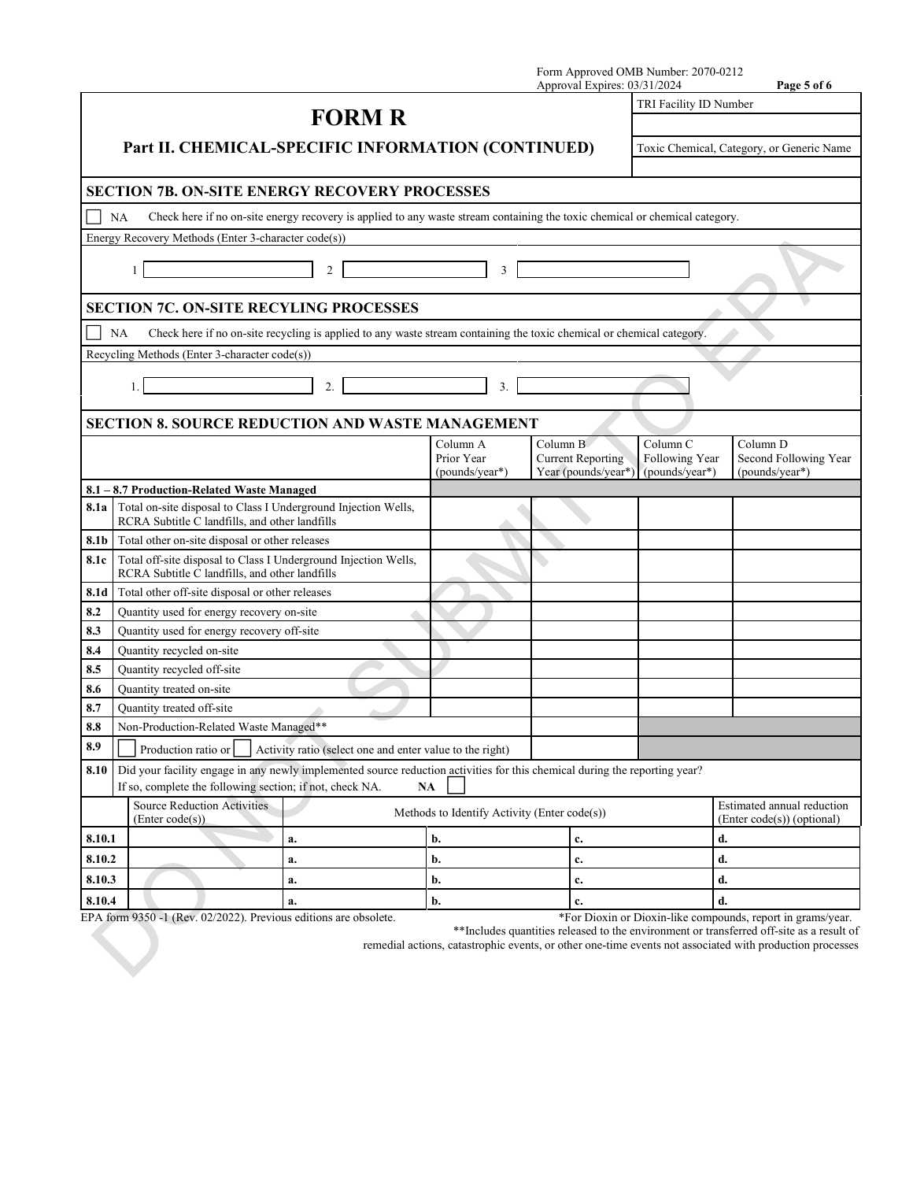|        |                                                       |                                                                                                                                                                                        |                                                          |    | Form Approved OMB Number: 2070-0212<br>Approval Expires: 03/31/2024 |                                                         | Page 5 of 6                                              |  |
|--------|-------------------------------------------------------|----------------------------------------------------------------------------------------------------------------------------------------------------------------------------------------|----------------------------------------------------------|----|---------------------------------------------------------------------|---------------------------------------------------------|----------------------------------------------------------|--|
|        |                                                       |                                                                                                                                                                                        |                                                          |    |                                                                     | TRI Facility ID Number                                  |                                                          |  |
|        |                                                       |                                                                                                                                                                                        | <b>FORM R</b>                                            |    |                                                                     |                                                         |                                                          |  |
|        |                                                       | Part II. CHEMICAL-SPECIFIC INFORMATION (CONTINUED)                                                                                                                                     |                                                          |    |                                                                     | Toxic Chemical, Category, or Generic Name               |                                                          |  |
|        |                                                       | <b>SECTION 7B. ON-SITE ENERGY RECOVERY PROCESSES</b>                                                                                                                                   |                                                          |    |                                                                     |                                                         |                                                          |  |
|        | NA                                                    | Check here if no on-site energy recovery is applied to any waste stream containing the toxic chemical or chemical category.                                                            |                                                          |    |                                                                     |                                                         |                                                          |  |
|        |                                                       | Energy Recovery Methods (Enter 3-character code(s))                                                                                                                                    |                                                          |    |                                                                     |                                                         |                                                          |  |
|        | 1                                                     | $\overline{2}$                                                                                                                                                                         |                                                          | 3  |                                                                     |                                                         |                                                          |  |
|        |                                                       | <b>SECTION 7C. ON-SITE RECYLING PROCESSES</b>                                                                                                                                          |                                                          |    |                                                                     |                                                         |                                                          |  |
|        | <b>NA</b>                                             | Check here if no on-site recycling is applied to any waste stream containing the toxic chemical or chemical category.                                                                  |                                                          |    |                                                                     |                                                         |                                                          |  |
|        |                                                       | Recycling Methods (Enter 3-character code(s))                                                                                                                                          |                                                          |    |                                                                     |                                                         |                                                          |  |
|        | 1.                                                    | 2.                                                                                                                                                                                     |                                                          | 3. |                                                                     |                                                         |                                                          |  |
|        |                                                       | <b>SECTION 8. SOURCE REDUCTION AND WASTE MANAGEMENT</b>                                                                                                                                |                                                          |    |                                                                     |                                                         |                                                          |  |
|        |                                                       |                                                                                                                                                                                        | Column A<br>Prior Year<br>(pounds/year*)                 |    | Column B<br><b>Current Reporting</b><br>Year (pounds/year*)         | Column <sub>C</sub><br>Following Year<br>(pounds/year*) | Column D<br>Second Following Year<br>(pounds/year*)      |  |
|        |                                                       | 8.1 - 8.7 Production-Related Waste Managed                                                                                                                                             |                                                          |    |                                                                     |                                                         |                                                          |  |
| 8.1a   |                                                       | Total on-site disposal to Class I Underground Injection Wells,<br>RCRA Subtitle C landfills, and other landfills                                                                       |                                                          |    |                                                                     |                                                         |                                                          |  |
| 8.1b   |                                                       | Total other on-site disposal or other releases                                                                                                                                         |                                                          |    |                                                                     |                                                         |                                                          |  |
| 8.1c   |                                                       | Total off-site disposal to Class I Underground Injection Wells,<br>RCRA Subtitle C landfills, and other landfills                                                                      |                                                          |    |                                                                     |                                                         |                                                          |  |
| 8.1d   |                                                       | Total other off-site disposal or other releases                                                                                                                                        |                                                          |    |                                                                     |                                                         |                                                          |  |
| 8.2    |                                                       | Quantity used for energy recovery on-site                                                                                                                                              |                                                          |    |                                                                     |                                                         |                                                          |  |
| 8.3    |                                                       | Quantity used for energy recovery off-site                                                                                                                                             |                                                          |    |                                                                     |                                                         |                                                          |  |
| 8.4    | Quantity recycled on-site                             |                                                                                                                                                                                        |                                                          |    |                                                                     |                                                         |                                                          |  |
| 8.5    | Quantity recycled off-site                            |                                                                                                                                                                                        |                                                          |    |                                                                     |                                                         |                                                          |  |
| 8.6    | Quantity treated on-site                              |                                                                                                                                                                                        |                                                          |    |                                                                     |                                                         |                                                          |  |
| 8.7    | Quantity treated off-site                             |                                                                                                                                                                                        |                                                          |    |                                                                     |                                                         |                                                          |  |
| 8.8    |                                                       | Non-Production-Related Waste Managed**                                                                                                                                                 |                                                          |    |                                                                     |                                                         |                                                          |  |
| 8.9    | Production ratio or                                   |                                                                                                                                                                                        | Activity ratio (select one and enter value to the right) |    |                                                                     |                                                         |                                                          |  |
| 8.10   |                                                       | Did your facility engage in any newly implemented source reduction activities for this chemical during the reporting year?<br>If so, complete the following section; if not, check NA. | $\mathbf{NA}$                                            |    |                                                                     |                                                         |                                                          |  |
|        | <b>Source Reduction Activities</b><br>(Enter code(s)) |                                                                                                                                                                                        | Methods to Identify Activity (Enter code(s))             |    |                                                                     |                                                         | Estimated annual reduction<br>(Enter code(s)) (optional) |  |
| 8.10.1 |                                                       | a.                                                                                                                                                                                     | b.                                                       |    | c.                                                                  |                                                         | d.                                                       |  |
| 8.10.2 |                                                       | a.                                                                                                                                                                                     | b.                                                       |    | c.                                                                  |                                                         | d.                                                       |  |
| 8.10.3 |                                                       | a.                                                                                                                                                                                     | b.                                                       |    | c.                                                                  |                                                         | d.                                                       |  |
| 8.10.4 | b.<br>a.                                              |                                                                                                                                                                                        | c.                                                       |    | d.                                                                  |                                                         |                                                          |  |

EPA form 9350 -1 (Rev. 02/2022). Previous editions are obsolete. \*For Dioxin or Dioxin-like compounds, report in grams/year.

\*\*Includes quantities released to the environment or transferred off-site as a result of

remedial actions, catastrophic events, or other one-time events not associated with production processes